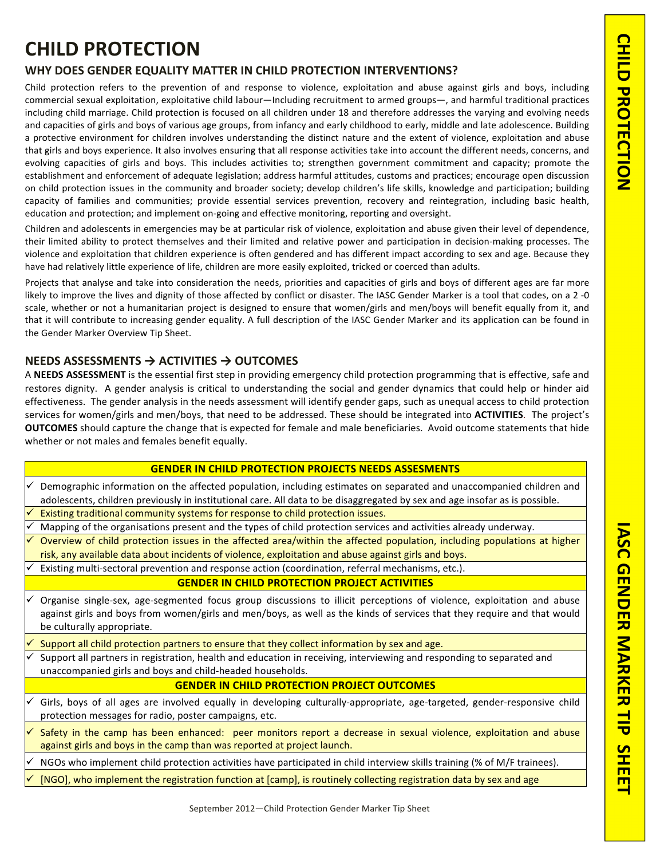# **CHILD&PROTECTION**

## WHY DOES GENDER EQUALITY MATTER IN CHILD PROTECTION INTERVENTIONS?

Child protection refers to the prevention of and response to violence, exploitation and abuse against girls and boys, including commercial sexual exploitation, exploitative child labour—Including recruitment to armed groups—, and harmful traditional practices including child marriage. Child protection is focused on all children under 18 and therefore addresses the varying and evolving needs and capacities of girls and boys of various age groups, from infancy and early childhood to early, middle and late adolescence. Building a protective environment for children involves understanding the distinct nature and the extent of violence, exploitation and abuse that girls and boys experience. It also involves ensuring that all response activities take into account the different needs, concerns, and evolving capacities of girls and boys. This includes activities to; strengthen government commitment and capacity; promote the establishment and enforcement of adequate legislation; address harmful attitudes, customs and practices; encourage open discussion on child protection issues in the community and broader society; develop children's life skills, knowledge and participation; building capacity of families and communities; provide essential services prevention, recovery and reintegration, including basic health, education and protection; and implement on-going and effective monitoring, reporting and oversight.

Children and adolescents in emergencies may be at particular risk of violence, exploitation and abuse given their level of dependence, their limited ability to protect themselves and their limited and relative power and participation in decision-making processes. The violence and exploitation that children experience is often gendered and has different impact according to sex and age. Because they have had relatively little experience of life, children are more easily exploited, tricked or coerced than adults.

Projects that analyse and take into consideration the needs, priorities and capacities of girls and boys of different ages are far more likely to improve the lives and dignity of those affected by conflict or disaster. The IASC Gender Marker is a tool that codes, on a 2-0 scale, whether or not a humanitarian project is designed to ensure that women/girls and men/boys will benefit equally from it, and that it will contribute to increasing gender equality. A full description of the IASC Gender Marker and its application can be found in the Gender Marker Overview Tip Sheet.

## **NEEDS ASSESSMENTS → ACTIVITIES → OUTCOMES**

A **NEEDS ASSESSMENT** is the essential first step in providing emergency child protection programming that is effective, safe and restores dignity. A gender analysis is critical to understanding the social and gender dynamics that could help or hinder aid effectiveness. The gender analysis in the needs assessment will identify gender gaps, such as unequal access to child protection services for women/girls and men/boys, that need to be addressed. These should be integrated into **ACTIVITIES**. The project's **OUTCOMES** should capture the change that is expected for female and male beneficiaries. Avoid outcome statements that hide whether or not males and females benefit equally.

- $\checkmark$  Demographic information on the affected population, including estimates on separated and unaccompanied children and adolescents, children previously in institutional care. All data to be disaggregated by sex and age insofar as is possible.
- Existing traditional community systems for response to child protection issues.
- Mapping of the organisations present and the types of child protection services and activities already underway.
- Overview of child protection issues in the affected area/within the affected population, including populations at higher risk, any available data about incidents of violence, exploitation and abuse against girls and boys.
- Existing multi-sectoral prevention and response action (coordination, referral mechanisms, etc.).

## **GENDER IN CHILD PROTECTION PROJECT ACTIVITIES**

- Organise single-sex, age-segmented focus group discussions to illicit perceptions of violence, exploitation and abuse against girls and boys from women/girls and men/boys, as well as the kinds of services that they require and that would be culturally appropriate.
- Support all child protection partners to ensure that they collect information by sex and age.
- Support all partners in registration, health and education in receiving, interviewing and responding to separated and unaccompanied girls and boys and child-headed households.

## **GENDER IN CHILD PROTECTION PROJECT OUTCOMES**

- $\checkmark$  Girls, boys of all ages are involved equally in developing culturally-appropriate, age-targeted, gender-responsive child protection messages for radio, poster campaigns, etc.
- Safety in the camp has been enhanced: peer monitors report a decrease in sexual violence, exploitation and abuse against girls and boys in the camp than was reported at project launch.
- NGOs who implement child protection activities have participated in child interview skills training (% of M/F trainees).
- [NGO], who implement the registration function at [camp], is routinely collecting registration data by sex and age

**IASC&GENDER&MARKER&TIP&&SHEET**

**SHEET** 

IASC GENDER MARKER TIP